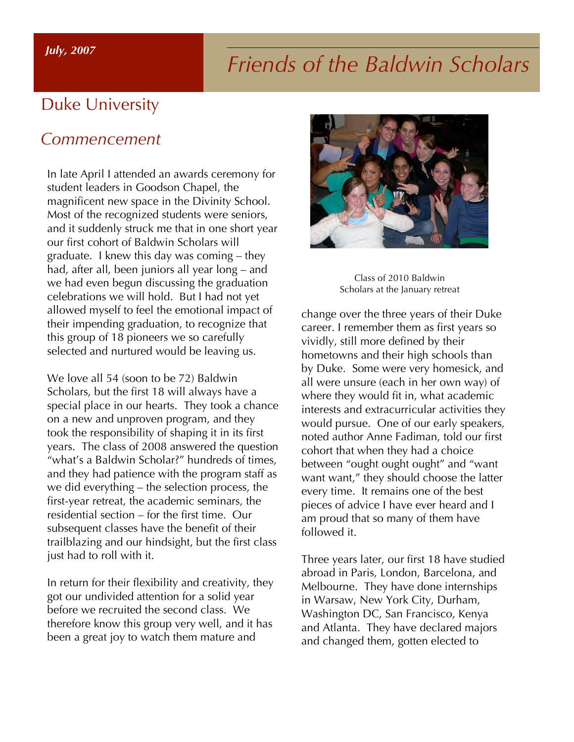#### *July, 2007*

# *Friends of the Baldwin Scholars*

### Duke University

#### *Commencement*

In late April I attended an awards ceremony for student leaders in Goodson Chapel, the magnificent new space in the Divinity School. Most of the recognized students were seniors, and it suddenly struck me that in one short year our first cohort of Baldwin Scholars will graduate. I knew this day was coming – they had, after all, been juniors all year long – and we had even begun discussing the graduation celebrations we will hold. But I had not yet allowed myself to feel the emotional impact of their impending graduation, to recognize that this group of 18 pioneers we so carefully selected and nurtured would be leaving us.

We love all 54 (soon to be 72) Baldwin Scholars, but the first 18 will always have a special place in our hearts. They took a chance on a new and unproven program, and they took the responsibility of shaping it in its first years. The class of 2008 answered the question "what's a Baldwin Scholar?" hundreds of times, and they had patience with the program staff as we did everything – the selection process, the first-year retreat, the academic seminars, the residential section – for the first time. Our subsequent classes have the benefit of their trailblazing and our hindsight, but the first class just had to roll with it.

In return for their flexibility and creativity, they got our undivided attention for a solid year before we recruited the second class. We therefore know this group very well, and it has been a great joy to watch them mature and



Class of 2010 Baldwin Scholars at the January retreat

change over the three years of their Duke career. I remember them as first years so vividly, still more defined by their hometowns and their high schools than by Duke. Some were very homesick, and all were unsure (each in her own way) of where they would fit in, what academic interests and extracurricular activities they would pursue. One of our early speakers, noted author Anne Fadiman, told our first cohort that when they had a choice between "ought ought ought" and "want want want," they should choose the latter every time. It remains one of the best pieces of advice I have ever heard and I am proud that so many of them have followed it.

Three years later, our first 18 have studied abroad in Paris, London, Barcelona, and Melbourne. They have done internships in Warsaw, New York City, Durham, Washington DC, San Francisco, Kenya and Atlanta. They have declared majors and changed them, gotten elected to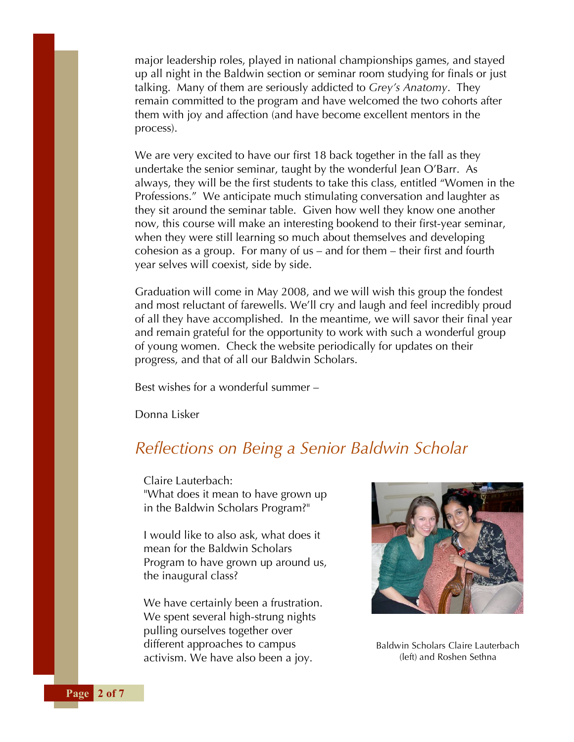major leadership roles, played in national championships games, and stayed up all night in the Baldwin section or seminar room studying for finals or just talking. Many of them are seriously addicted to *Grey's Anatomy*. They remain committed to the program and have welcomed the two cohorts after them with joy and affection (and have become excellent mentors in the process).

We are very excited to have our first 18 back together in the fall as they undertake the senior seminar, taught by the wonderful Jean O'Barr. As always, they will be the first students to take this class, entitled "Women in the Professions." We anticipate much stimulating conversation and laughter as they sit around the seminar table. Given how well they know one another now, this course will make an interesting bookend to their first-year seminar, when they were still learning so much about themselves and developing cohesion as a group. For many of us – and for them – their first and fourth year selves will coexist, side by side.

Graduation will come in May 2008, and we will wish this group the fondest and most reluctant of farewells. We'll cry and laugh and feel incredibly proud of all they have accomplished. In the meantime, we will savor their final year and remain grateful for the opportunity to work with such a wonderful group of young women. Check the website periodically for updates on their progress, and that of all our Baldwin Scholars.

Best wishes for a wonderful summer –

Donna Lisker

#### *Reflections on Being a Senior Baldwin Scholar*

Claire Lauterbach: "What does it mean to have grown up in the Baldwin Scholars Program?"

I would like to also ask, what does it mean for the Baldwin Scholars Program to have grown up around us, the inaugural class?

We have certainly been a frustration. We spent several high-strung nights pulling ourselves together over different approaches to campus activism. We have also been a joy.



Baldwin Scholars Claire Lauterbach (left) and Roshen Sethna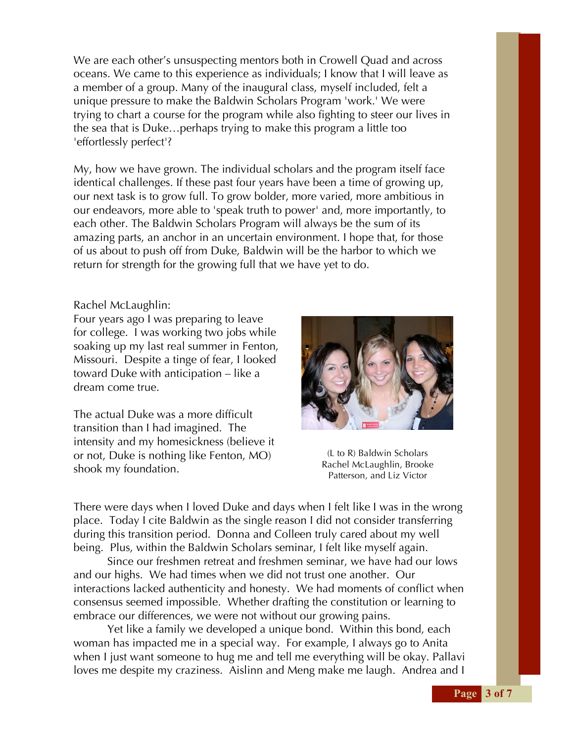We are each other's unsuspecting mentors both in Crowell Quad and across oceans. We came to this experience as individuals; I know that I will leave as a member of a group. Many of the inaugural class, myself included, felt a unique pressure to make the Baldwin Scholars Program 'work.' We were trying to chart a course for the program while also fighting to steer our lives in the sea that is Duke…perhaps trying to make this program a little too 'effortlessly perfect'?

My, how we have grown. The individual scholars and the program itself face identical challenges. If these past four years have been a time of growing up, our next task is to grow full. To grow bolder, more varied, more ambitious in our endeavors, more able to 'speak truth to power' and, more importantly, to each other. The Baldwin Scholars Program will always be the sum of its amazing parts, an anchor in an uncertain environment. I hope that, for those of us about to push off from Duke, Baldwin will be the harbor to which we return for strength for the growing full that we have yet to do.

#### Rachel McLaughlin:

Four years ago I was preparing to leave for college. I was working two jobs while soaking up my last real summer in Fenton, Missouri. Despite a tinge of fear, I looked toward Duke with anticipation – like a dream come true.

The actual Duke was a more difficult transition than I had imagined. The intensity and my homesickness (believe it or not, Duke is nothing like Fenton, MO) shook my foundation.



(L to R) Baldwin Scholars Rachel McLaughlin, Brooke Patterson, and Liz Victor

There were days when I loved Duke and days when I felt like I was in the wrong place. Today I cite Baldwin as the single reason I did not consider transferring during this transition period. Donna and Colleen truly cared about my well being. Plus, within the Baldwin Scholars seminar, I felt like myself again.

Since our freshmen retreat and freshmen seminar, we have had our lows and our highs. We had times when we did not trust one another. Our interactions lacked authenticity and honesty. We had moments of conflict when consensus seemed impossible. Whether drafting the constitution or learning to embrace our differences, we were not without our growing pains.

Yet like a family we developed a unique bond. Within this bond, each woman has impacted me in a special way. For example, I always go to Anita when I just want someone to hug me and tell me everything will be okay. Pallavi loves me despite my craziness. Aislinn and Meng make me laugh. Andrea and I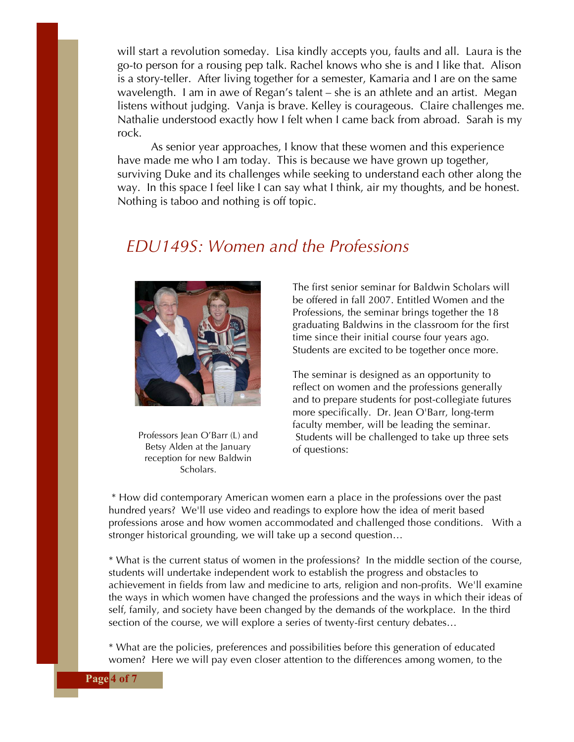will start a revolution someday. Lisa kindly accepts you, faults and all. Laura is the go-to person for a rousing pep talk. Rachel knows who she is and I like that. Alison is a story-teller. After living together for a semester, Kamaria and I are on the same wavelength. I am in awe of Regan's talent – she is an athlete and an artist. Megan listens without judging. Vanja is brave. Kelley is courageous. Claire challenges me. Nathalie understood exactly how I felt when I came back from abroad. Sarah is my rock.

As senior year approaches, I know that these women and this experience have made me who I am today. This is because we have grown up together, surviving Duke and its challenges while seeking to understand each other along the way. In this space I feel like I can say what I think, air my thoughts, and be honest. Nothing is taboo and nothing is off topic.

#### *EDU149S: Women and the Professions*



Professors Jean O'Barr (L) and Betsy Alden at the January reception for new Baldwin Scholars.

The first senior seminar for Baldwin Scholars will be offered in fall 2007. Entitled Women and the Professions, the seminar brings together the 18 graduating Baldwins in the classroom for the first time since their initial course four years ago. Students are excited to be together once more.

The seminar is designed as an opportunity to reflect on women and the professions generally and to prepare students for post-collegiate futures more specifically. Dr. Jean O'Barr, long-term faculty member, will be leading the seminar. Students will be challenged to take up three sets of questions:

\* How did contemporary American women earn a place in the professions over the past hundred years? We'll use video and readings to explore how the idea of merit based professions arose and how women accommodated and challenged those conditions. With a stronger historical grounding, we will take up a second question…

\* What is the current status of women in the professions? In the middle section of the course, students will undertake independent work to establish the progress and obstacles to achievement in fields from law and medicine to arts, religion and non-profits. We'll examine the ways in which women have changed the professions and the ways in which their ideas of self, family, and society have been changed by the demands of the workplace. In the third section of the course, we will explore a series of twenty-first century debates…

\* What are the policies, preferences and possibilities before this generation of educated women? Here we will pay even closer attention to the differences among women, to the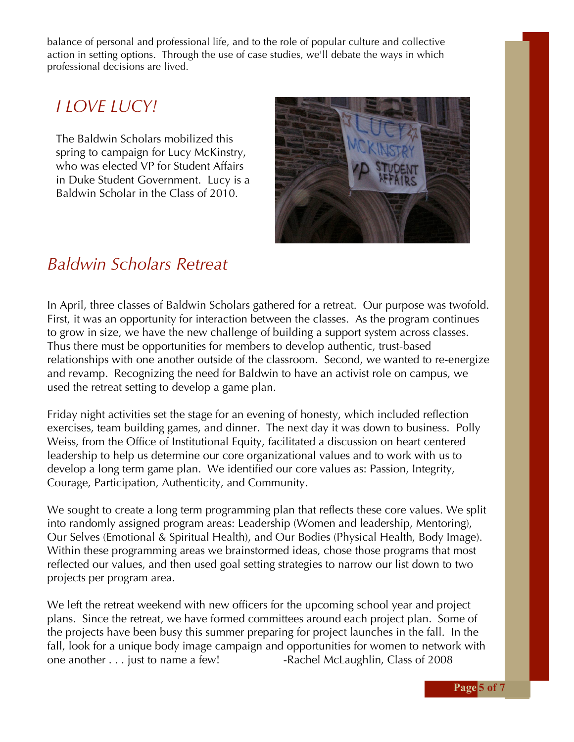balance of personal and professional life, and to the role of popular culture and collective action in setting options. Through the use of case studies, we'll debate the ways in which professional decisions are lived.

#### *I LOVE LUCY!*

The Baldwin Scholars mobilized this spring to campaign for Lucy McKinstry, who was elected VP for Student Affairs in Duke Student Government. Lucy is a Baldwin Scholar in the Class of 2010.



#### *Baldwin Scholars Retreat*

In April, three classes of Baldwin Scholars gathered for a retreat. Our purpose was twofold. First, it was an opportunity for interaction between the classes. As the program continues to grow in size, we have the new challenge of building a support system across classes. Thus there must be opportunities for members to develop authentic, trust-based relationships with one another outside of the classroom. Second, we wanted to re-energize and revamp. Recognizing the need for Baldwin to have an activist role on campus, we used the retreat setting to develop a game plan.

Friday night activities set the stage for an evening of honesty, which included reflection exercises, team building games, and dinner. The next day it was down to business. Polly Weiss, from the Office of Institutional Equity, facilitated a discussion on heart centered leadership to help us determine our core organizational values and to work with us to develop a long term game plan. We identified our core values as: Passion, Integrity, Courage, Participation, Authenticity, and Community.

We sought to create a long term programming plan that reflects these core values. We split into randomly assigned program areas: Leadership (Women and leadership, Mentoring), Our Selves (Emotional & Spiritual Health), and Our Bodies (Physical Health, Body Image). Within these programming areas we brainstormed ideas, chose those programs that most reflected our values, and then used goal setting strategies to narrow our list down to two projects per program area.

We left the retreat weekend with new officers for the upcoming school year and project plans. Since the retreat, we have formed committees around each project plan. Some of the projects have been busy this summer preparing for project launches in the fall. In the fall, look for a unique body image campaign and opportunities for women to network with one another . . . just to name a few! -Rachel McLaughlin, Class of 2008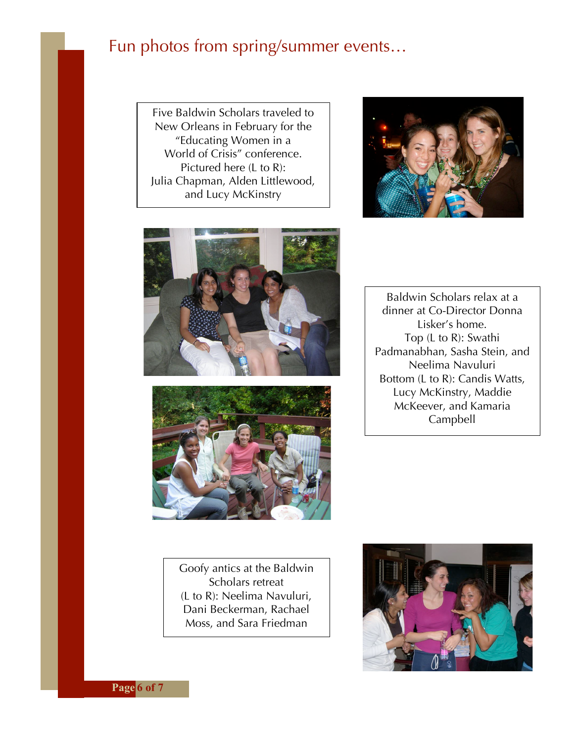## Fun photos from spring/summer events…

Five Baldwin Scholars traveled to New Orleans in February for the "Educating Women in a World of Crisis" conference. Pictured here (L to R): Julia Chapman, Alden Littlewood, and Lucy McKinstry







Baldwin Scholars relax at a dinner at Co-Director Donna Lisker's home. Top (L to R): Swathi Padmanabhan, Sasha Stein, and Neelima Navuluri Bottom (L to R): Candis Watts, Lucy McKinstry, Maddie McKeever, and Kamaria Campbell

Goofy antics at the Baldwin Scholars retreat (L to R): Neelima Navuluri, Dani Beckerman, Rachael Moss, and Sara Friedman